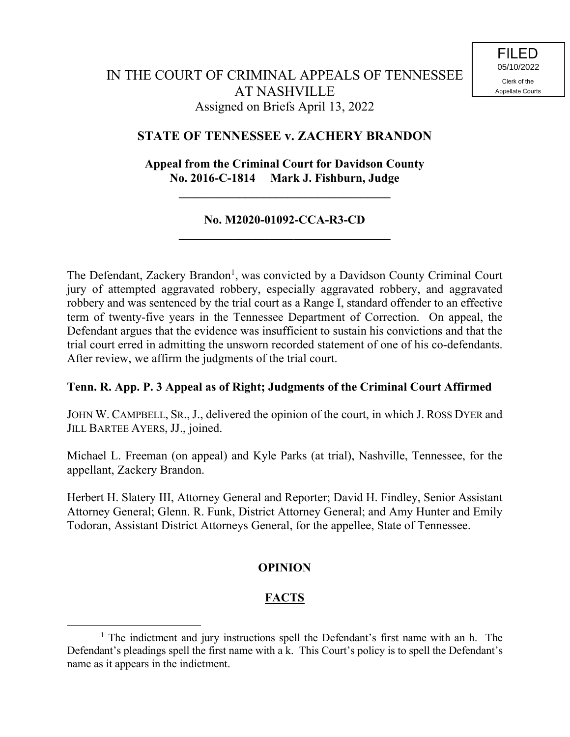# **STATE OF TENNESSEE v. ZACHERY BRANDON**

# **Appeal from the Criminal Court for Davidson County No. 2016-C-1814 Mark J. Fishburn, Judge**

**\_\_\_\_\_\_\_\_\_\_\_\_\_\_\_\_\_\_\_\_\_\_\_\_\_\_\_\_\_\_\_\_\_\_\_**

### **No. M2020-01092-CCA-R3-CD \_\_\_\_\_\_\_\_\_\_\_\_\_\_\_\_\_\_\_\_\_\_\_\_\_\_\_\_\_\_\_\_\_\_\_**

The Defendant, Zackery Brandon<sup>1</sup>, was convicted by a Davidson County Criminal Court jury of attempted aggravated robbery, especially aggravated robbery, and aggravated robbery and was sentenced by the trial court as a Range I, standard offender to an effective term of twenty-five years in the Tennessee Department of Correction. On appeal, the Defendant argues that the evidence was insufficient to sustain his convictions and that the trial court erred in admitting the unsworn recorded statement of one of his co-defendants. After review, we affirm the judgments of the trial court.

# **Tenn. R. App. P. 3 Appeal as of Right; Judgments of the Criminal Court Affirmed**

JOHN W. CAMPBELL, SR., J., delivered the opinion of the court, in which J. ROSS DYER and JILL BARTEE AYERS, JJ., joined.

Michael L. Freeman (on appeal) and Kyle Parks (at trial), Nashville, Tennessee, for the appellant, Zackery Brandon.

Herbert H. Slatery III, Attorney General and Reporter; David H. Findley, Senior Assistant Attorney General; Glenn. R. Funk, District Attorney General; and Amy Hunter and Emily Todoran, Assistant District Attorneys General, for the appellee, State of Tennessee.

# **OPINION**

# **FACTS**

 $\overline{a}$ 

<sup>&</sup>lt;sup>1</sup> The indictment and jury instructions spell the Defendant's first name with an h. The Defendant's pleadings spell the first name with a k. This Court's policy is to spell the Defendant's name as it appears in the indictment.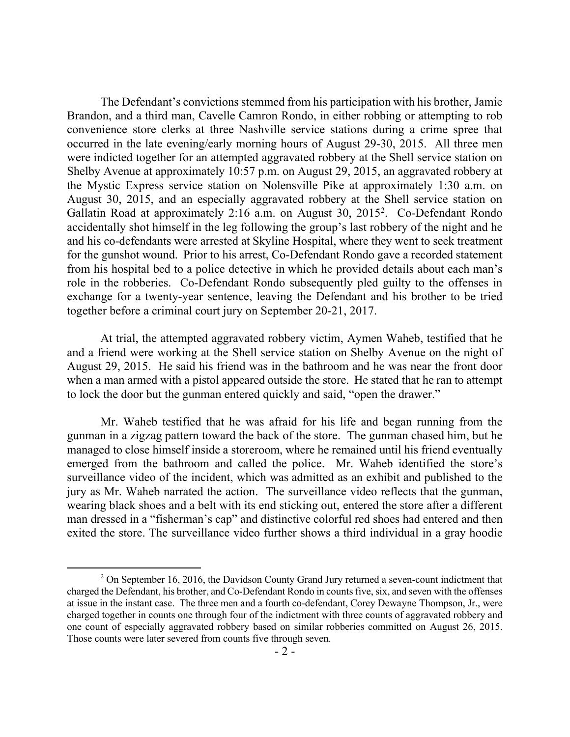The Defendant's convictions stemmed from his participation with his brother, Jamie Brandon, and a third man, Cavelle Camron Rondo, in either robbing or attempting to rob convenience store clerks at three Nashville service stations during a crime spree that occurred in the late evening/early morning hours of August 29-30, 2015. All three men were indicted together for an attempted aggravated robbery at the Shell service station on Shelby Avenue at approximately 10:57 p.m. on August 29, 2015, an aggravated robbery at the Mystic Express service station on Nolensville Pike at approximately 1:30 a.m. on August 30, 2015, and an especially aggravated robbery at the Shell service station on Gallatin Road at approximately 2:16 a.m. on August 30, 2015<sup>2</sup>. Co-Defendant Rondo accidentally shot himself in the leg following the group's last robbery of the night and he and his co-defendants were arrested at Skyline Hospital, where they went to seek treatment for the gunshot wound. Prior to his arrest, Co-Defendant Rondo gave a recorded statement from his hospital bed to a police detective in which he provided details about each man's role in the robberies. Co-Defendant Rondo subsequently pled guilty to the offenses in exchange for a twenty-year sentence, leaving the Defendant and his brother to be tried together before a criminal court jury on September 20-21, 2017.

At trial, the attempted aggravated robbery victim, Aymen Waheb, testified that he and a friend were working at the Shell service station on Shelby Avenue on the night of August 29, 2015. He said his friend was in the bathroom and he was near the front door when a man armed with a pistol appeared outside the store. He stated that he ran to attempt to lock the door but the gunman entered quickly and said, "open the drawer."

Mr. Waheb testified that he was afraid for his life and began running from the gunman in a zigzag pattern toward the back of the store. The gunman chased him, but he managed to close himself inside a storeroom, where he remained until his friend eventually emerged from the bathroom and called the police. Mr. Waheb identified the store's surveillance video of the incident, which was admitted as an exhibit and published to the jury as Mr. Waheb narrated the action. The surveillance video reflects that the gunman, wearing black shoes and a belt with its end sticking out, entered the store after a different man dressed in a "fisherman's cap" and distinctive colorful red shoes had entered and then exited the store. The surveillance video further shows a third individual in a gray hoodie

 $\overline{a}$ 

 $2$  On September 16, 2016, the Davidson County Grand Jury returned a seven-count indictment that charged the Defendant, his brother, and Co-Defendant Rondo in counts five, six, and seven with the offenses at issue in the instant case. The three men and a fourth co-defendant, Corey Dewayne Thompson, Jr., were charged together in counts one through four of the indictment with three counts of aggravated robbery and one count of especially aggravated robbery based on similar robberies committed on August 26, 2015. Those counts were later severed from counts five through seven.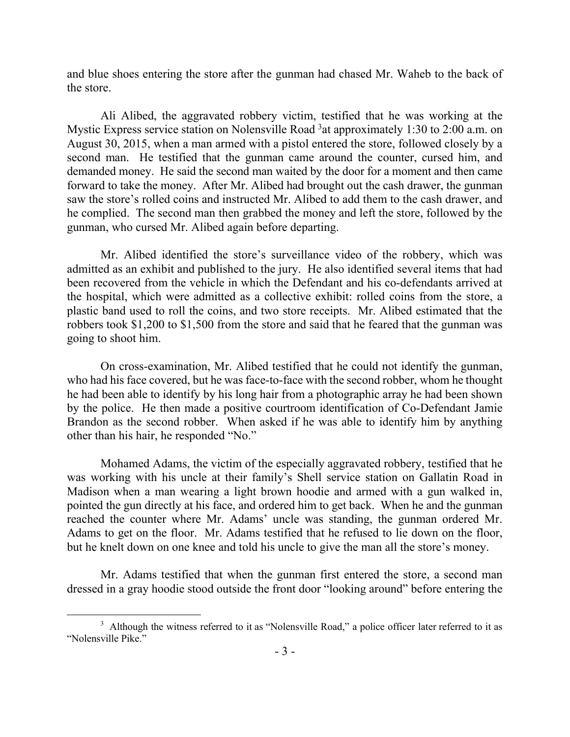and blue shoes entering the store after the gunman had chased Mr. Waheb to the back of the store.

Ali Alibed, the aggravated robbery victim, testified that he was working at the Mystic Express service station on Nolensville Road <sup>3</sup>at approximately 1:30 to 2:00 a.m. on August 30, 2015, when a man armed with a pistol entered the store, followed closely by a second man. He testified that the gunman came around the counter, cursed him, and demanded money. He said the second man waited by the door for a moment and then came forward to take the money. After Mr. Alibed had brought out the cash drawer, the gunman saw the store's rolled coins and instructed Mr. Alibed to add them to the cash drawer, and he complied. The second man then grabbed the money and left the store, followed by the gunman, who cursed Mr. Alibed again before departing.

Mr. Alibed identified the store's surveillance video of the robbery, which was admitted as an exhibit and published to the jury. He also identified several items that had been recovered from the vehicle in which the Defendant and his co-defendants arrived at the hospital, which were admitted as a collective exhibit: rolled coins from the store, a plastic band used to roll the coins, and two store receipts. Mr. Alibed estimated that the robbers took \$1,200 to \$1,500 from the store and said that he feared that the gunman was going to shoot him.

On cross-examination, Mr. Alibed testified that he could not identify the gunman, who had his face covered, but he was face-to-face with the second robber, whom he thought he had been able to identify by his long hair from a photographic array he had been shown by the police. He then made a positive courtroom identification of Co-Defendant Jamie Brandon as the second robber. When asked if he was able to identify him by anything other than his hair, he responded "No."

Mohamed Adams, the victim of the especially aggravated robbery, testified that he was working with his uncle at their family's Shell service station on Gallatin Road in Madison when a man wearing a light brown hoodie and armed with a gun walked in, pointed the gun directly at his face, and ordered him to get back. When he and the gunman reached the counter where Mr. Adams' uncle was standing, the gunman ordered Mr. Adams to get on the floor. Mr. Adams testified that he refused to lie down on the floor, but he knelt down on one knee and told his uncle to give the man all the store's money.

Mr. Adams testified that when the gunman first entered the store, a second man dressed in a gray hoodie stood outside the front door "looking around" before entering the

 $\overline{a}$ 

<sup>&</sup>lt;sup>3</sup> Although the witness referred to it as "Nolensville Road," a police officer later referred to it as "Nolensville Pike."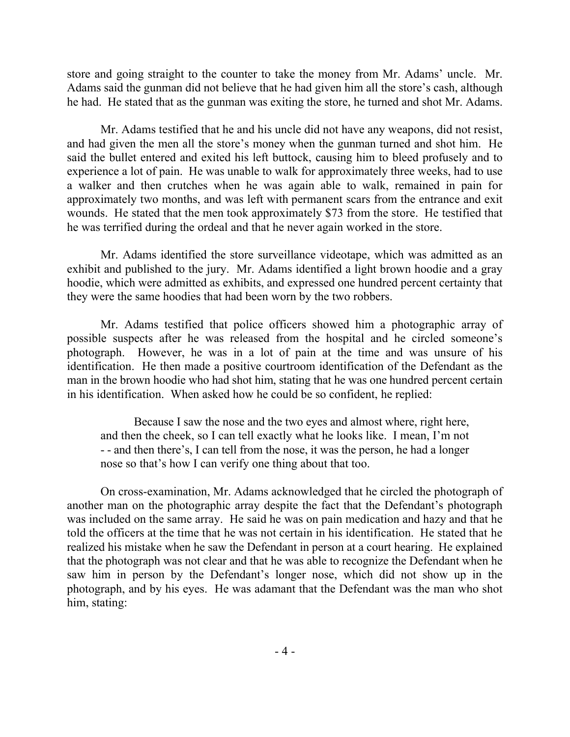store and going straight to the counter to take the money from Mr. Adams' uncle. Mr. Adams said the gunman did not believe that he had given him all the store's cash, although he had. He stated that as the gunman was exiting the store, he turned and shot Mr. Adams.

Mr. Adams testified that he and his uncle did not have any weapons, did not resist, and had given the men all the store's money when the gunman turned and shot him. He said the bullet entered and exited his left buttock, causing him to bleed profusely and to experience a lot of pain. He was unable to walk for approximately three weeks, had to use a walker and then crutches when he was again able to walk, remained in pain for approximately two months, and was left with permanent scars from the entrance and exit wounds. He stated that the men took approximately \$73 from the store. He testified that he was terrified during the ordeal and that he never again worked in the store.

Mr. Adams identified the store surveillance videotape, which was admitted as an exhibit and published to the jury. Mr. Adams identified a light brown hoodie and a gray hoodie, which were admitted as exhibits, and expressed one hundred percent certainty that they were the same hoodies that had been worn by the two robbers.

Mr. Adams testified that police officers showed him a photographic array of possible suspects after he was released from the hospital and he circled someone's photograph. However, he was in a lot of pain at the time and was unsure of his identification. He then made a positive courtroom identification of the Defendant as the man in the brown hoodie who had shot him, stating that he was one hundred percent certain in his identification. When asked how he could be so confident, he replied:

Because I saw the nose and the two eyes and almost where, right here, and then the cheek, so I can tell exactly what he looks like. I mean, I'm not - - and then there's, I can tell from the nose, it was the person, he had a longer nose so that's how I can verify one thing about that too.

On cross-examination, Mr. Adams acknowledged that he circled the photograph of another man on the photographic array despite the fact that the Defendant's photograph was included on the same array. He said he was on pain medication and hazy and that he told the officers at the time that he was not certain in his identification. He stated that he realized his mistake when he saw the Defendant in person at a court hearing. He explained that the photograph was not clear and that he was able to recognize the Defendant when he saw him in person by the Defendant's longer nose, which did not show up in the photograph, and by his eyes. He was adamant that the Defendant was the man who shot him, stating: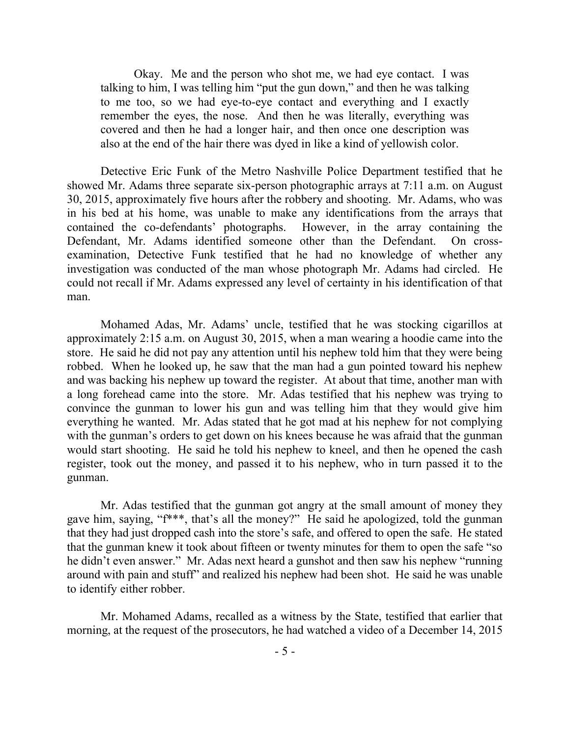Okay. Me and the person who shot me, we had eye contact. I was talking to him, I was telling him "put the gun down," and then he was talking to me too, so we had eye-to-eye contact and everything and I exactly remember the eyes, the nose. And then he was literally, everything was covered and then he had a longer hair, and then once one description was also at the end of the hair there was dyed in like a kind of yellowish color.

Detective Eric Funk of the Metro Nashville Police Department testified that he showed Mr. Adams three separate six-person photographic arrays at 7:11 a.m. on August 30, 2015, approximately five hours after the robbery and shooting. Mr. Adams, who was in his bed at his home, was unable to make any identifications from the arrays that contained the co-defendants' photographs. However, in the array containing the Defendant, Mr. Adams identified someone other than the Defendant. On crossexamination, Detective Funk testified that he had no knowledge of whether any investigation was conducted of the man whose photograph Mr. Adams had circled. He could not recall if Mr. Adams expressed any level of certainty in his identification of that man.

Mohamed Adas, Mr. Adams' uncle, testified that he was stocking cigarillos at approximately 2:15 a.m. on August 30, 2015, when a man wearing a hoodie came into the store. He said he did not pay any attention until his nephew told him that they were being robbed. When he looked up, he saw that the man had a gun pointed toward his nephew and was backing his nephew up toward the register. At about that time, another man with a long forehead came into the store. Mr. Adas testified that his nephew was trying to convince the gunman to lower his gun and was telling him that they would give him everything he wanted. Mr. Adas stated that he got mad at his nephew for not complying with the gunman's orders to get down on his knees because he was afraid that the gunman would start shooting. He said he told his nephew to kneel, and then he opened the cash register, took out the money, and passed it to his nephew, who in turn passed it to the gunman.

Mr. Adas testified that the gunman got angry at the small amount of money they gave him, saying, "f\*\*\*, that's all the money?" He said he apologized, told the gunman that they had just dropped cash into the store's safe, and offered to open the safe. He stated that the gunman knew it took about fifteen or twenty minutes for them to open the safe "so he didn't even answer." Mr. Adas next heard a gunshot and then saw his nephew "running around with pain and stuff" and realized his nephew had been shot. He said he was unable to identify either robber.

Mr. Mohamed Adams, recalled as a witness by the State, testified that earlier that morning, at the request of the prosecutors, he had watched a video of a December 14, 2015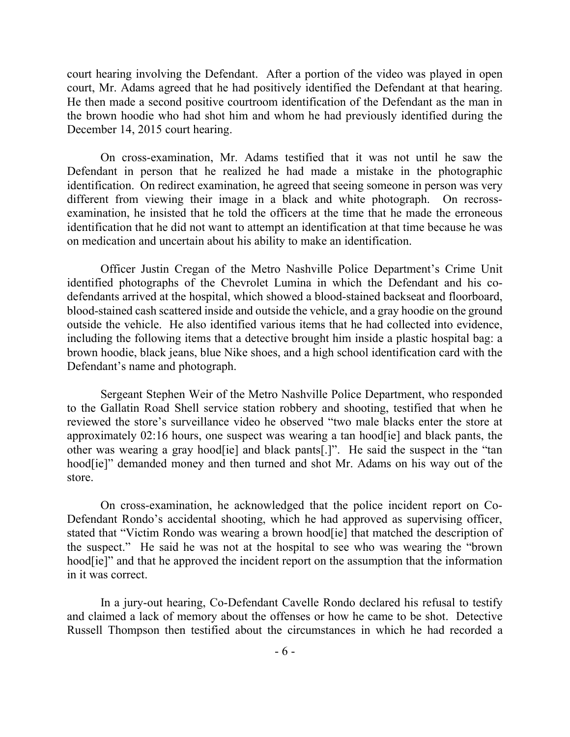court hearing involving the Defendant. After a portion of the video was played in open court, Mr. Adams agreed that he had positively identified the Defendant at that hearing. He then made a second positive courtroom identification of the Defendant as the man in the brown hoodie who had shot him and whom he had previously identified during the December 14, 2015 court hearing.

On cross-examination, Mr. Adams testified that it was not until he saw the Defendant in person that he realized he had made a mistake in the photographic identification. On redirect examination, he agreed that seeing someone in person was very different from viewing their image in a black and white photograph. On recrossexamination, he insisted that he told the officers at the time that he made the erroneous identification that he did not want to attempt an identification at that time because he was on medication and uncertain about his ability to make an identification.

Officer Justin Cregan of the Metro Nashville Police Department's Crime Unit identified photographs of the Chevrolet Lumina in which the Defendant and his codefendants arrived at the hospital, which showed a blood-stained backseat and floorboard, blood-stained cash scattered inside and outside the vehicle, and a gray hoodie on the ground outside the vehicle. He also identified various items that he had collected into evidence, including the following items that a detective brought him inside a plastic hospital bag: a brown hoodie, black jeans, blue Nike shoes, and a high school identification card with the Defendant's name and photograph.

Sergeant Stephen Weir of the Metro Nashville Police Department, who responded to the Gallatin Road Shell service station robbery and shooting, testified that when he reviewed the store's surveillance video he observed "two male blacks enter the store at approximately 02:16 hours, one suspect was wearing a tan hood[ie] and black pants, the other was wearing a gray hood[ie] and black pants[.]". He said the suspect in the "tan hood[ie]" demanded money and then turned and shot Mr. Adams on his way out of the store.

On cross-examination, he acknowledged that the police incident report on Co-Defendant Rondo's accidental shooting, which he had approved as supervising officer, stated that "Victim Rondo was wearing a brown hood[ie] that matched the description of the suspect." He said he was not at the hospital to see who was wearing the "brown hood<sup>[ie]"</sup> and that he approved the incident report on the assumption that the information in it was correct.

In a jury-out hearing, Co-Defendant Cavelle Rondo declared his refusal to testify and claimed a lack of memory about the offenses or how he came to be shot. Detective Russell Thompson then testified about the circumstances in which he had recorded a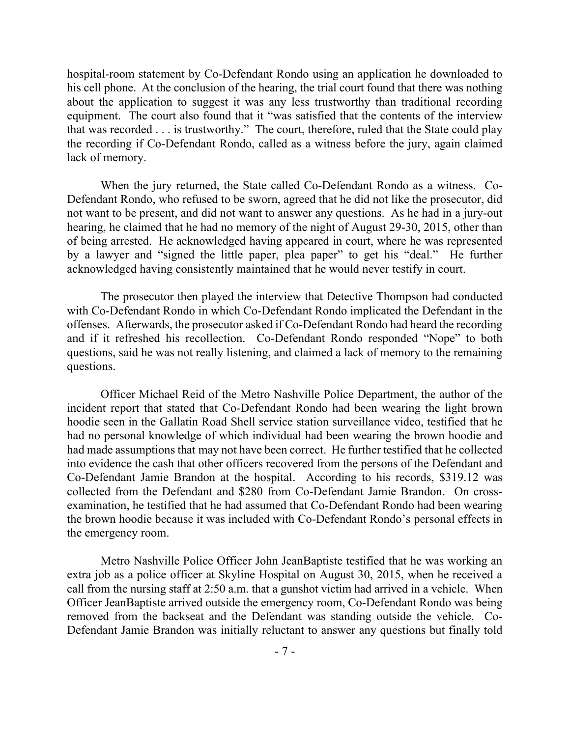hospital-room statement by Co-Defendant Rondo using an application he downloaded to his cell phone. At the conclusion of the hearing, the trial court found that there was nothing about the application to suggest it was any less trustworthy than traditional recording equipment. The court also found that it "was satisfied that the contents of the interview that was recorded . . . is trustworthy." The court, therefore, ruled that the State could play the recording if Co-Defendant Rondo, called as a witness before the jury, again claimed lack of memory.

When the jury returned, the State called Co-Defendant Rondo as a witness. Co-Defendant Rondo, who refused to be sworn, agreed that he did not like the prosecutor, did not want to be present, and did not want to answer any questions. As he had in a jury-out hearing, he claimed that he had no memory of the night of August 29-30, 2015, other than of being arrested. He acknowledged having appeared in court, where he was represented by a lawyer and "signed the little paper, plea paper" to get his "deal." He further acknowledged having consistently maintained that he would never testify in court.

The prosecutor then played the interview that Detective Thompson had conducted with Co-Defendant Rondo in which Co-Defendant Rondo implicated the Defendant in the offenses. Afterwards, the prosecutor asked if Co-Defendant Rondo had heard the recording and if it refreshed his recollection. Co-Defendant Rondo responded "Nope" to both questions, said he was not really listening, and claimed a lack of memory to the remaining questions.

Officer Michael Reid of the Metro Nashville Police Department, the author of the incident report that stated that Co-Defendant Rondo had been wearing the light brown hoodie seen in the Gallatin Road Shell service station surveillance video, testified that he had no personal knowledge of which individual had been wearing the brown hoodie and had made assumptions that may not have been correct. He further testified that he collected into evidence the cash that other officers recovered from the persons of the Defendant and Co-Defendant Jamie Brandon at the hospital. According to his records, \$319.12 was collected from the Defendant and \$280 from Co-Defendant Jamie Brandon. On crossexamination, he testified that he had assumed that Co-Defendant Rondo had been wearing the brown hoodie because it was included with Co-Defendant Rondo's personal effects in the emergency room.

Metro Nashville Police Officer John JeanBaptiste testified that he was working an extra job as a police officer at Skyline Hospital on August 30, 2015, when he received a call from the nursing staff at 2:50 a.m. that a gunshot victim had arrived in a vehicle. When Officer JeanBaptiste arrived outside the emergency room, Co-Defendant Rondo was being removed from the backseat and the Defendant was standing outside the vehicle. Co-Defendant Jamie Brandon was initially reluctant to answer any questions but finally told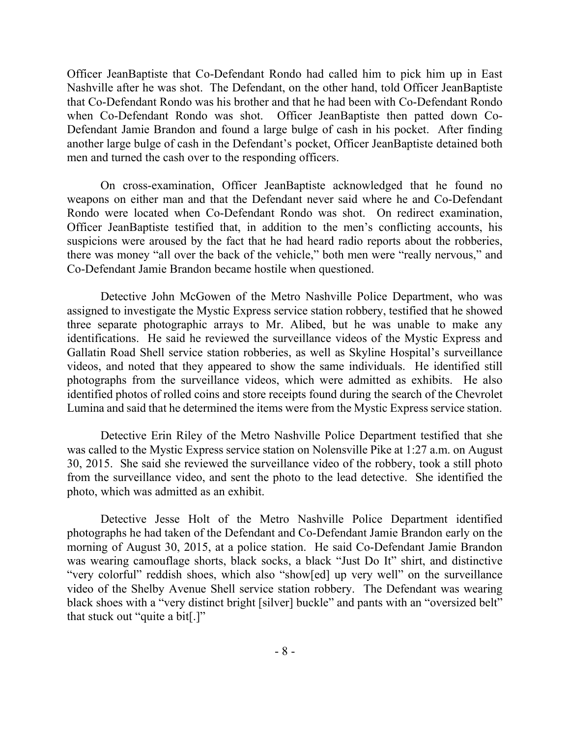Officer JeanBaptiste that Co-Defendant Rondo had called him to pick him up in East Nashville after he was shot. The Defendant, on the other hand, told Officer JeanBaptiste that Co-Defendant Rondo was his brother and that he had been with Co-Defendant Rondo when Co-Defendant Rondo was shot. Officer JeanBaptiste then patted down Co-Defendant Jamie Brandon and found a large bulge of cash in his pocket. After finding another large bulge of cash in the Defendant's pocket, Officer JeanBaptiste detained both men and turned the cash over to the responding officers.

On cross-examination, Officer JeanBaptiste acknowledged that he found no weapons on either man and that the Defendant never said where he and Co-Defendant Rondo were located when Co-Defendant Rondo was shot. On redirect examination, Officer JeanBaptiste testified that, in addition to the men's conflicting accounts, his suspicions were aroused by the fact that he had heard radio reports about the robberies, there was money "all over the back of the vehicle," both men were "really nervous," and Co-Defendant Jamie Brandon became hostile when questioned.

Detective John McGowen of the Metro Nashville Police Department, who was assigned to investigate the Mystic Express service station robbery, testified that he showed three separate photographic arrays to Mr. Alibed, but he was unable to make any identifications. He said he reviewed the surveillance videos of the Mystic Express and Gallatin Road Shell service station robberies, as well as Skyline Hospital's surveillance videos, and noted that they appeared to show the same individuals. He identified still photographs from the surveillance videos, which were admitted as exhibits. He also identified photos of rolled coins and store receipts found during the search of the Chevrolet Lumina and said that he determined the items were from the Mystic Express service station.

Detective Erin Riley of the Metro Nashville Police Department testified that she was called to the Mystic Express service station on Nolensville Pike at 1:27 a.m. on August 30, 2015. She said she reviewed the surveillance video of the robbery, took a still photo from the surveillance video, and sent the photo to the lead detective. She identified the photo, which was admitted as an exhibit.

Detective Jesse Holt of the Metro Nashville Police Department identified photographs he had taken of the Defendant and Co-Defendant Jamie Brandon early on the morning of August 30, 2015, at a police station. He said Co-Defendant Jamie Brandon was wearing camouflage shorts, black socks, a black "Just Do It" shirt, and distinctive "very colorful" reddish shoes, which also "show[ed] up very well" on the surveillance video of the Shelby Avenue Shell service station robbery. The Defendant was wearing black shoes with a "very distinct bright [silver] buckle" and pants with an "oversized belt" that stuck out "quite a bit[.]"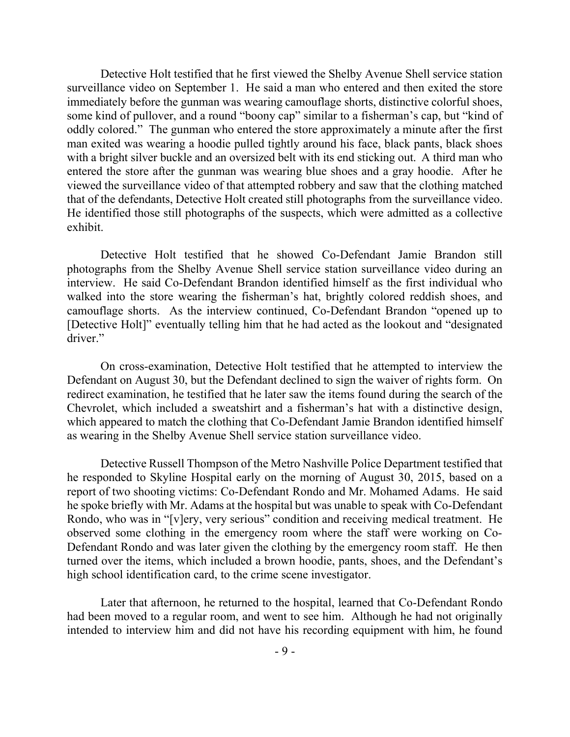Detective Holt testified that he first viewed the Shelby Avenue Shell service station surveillance video on September 1. He said a man who entered and then exited the store immediately before the gunman was wearing camouflage shorts, distinctive colorful shoes, some kind of pullover, and a round "boony cap" similar to a fisherman's cap, but "kind of oddly colored." The gunman who entered the store approximately a minute after the first man exited was wearing a hoodie pulled tightly around his face, black pants, black shoes with a bright silver buckle and an oversized belt with its end sticking out. A third man who entered the store after the gunman was wearing blue shoes and a gray hoodie. After he viewed the surveillance video of that attempted robbery and saw that the clothing matched that of the defendants, Detective Holt created still photographs from the surveillance video. He identified those still photographs of the suspects, which were admitted as a collective exhibit.

Detective Holt testified that he showed Co-Defendant Jamie Brandon still photographs from the Shelby Avenue Shell service station surveillance video during an interview. He said Co-Defendant Brandon identified himself as the first individual who walked into the store wearing the fisherman's hat, brightly colored reddish shoes, and camouflage shorts. As the interview continued, Co-Defendant Brandon "opened up to [Detective Holt]" eventually telling him that he had acted as the lookout and "designated driver."

On cross-examination, Detective Holt testified that he attempted to interview the Defendant on August 30, but the Defendant declined to sign the waiver of rights form. On redirect examination, he testified that he later saw the items found during the search of the Chevrolet, which included a sweatshirt and a fisherman's hat with a distinctive design, which appeared to match the clothing that Co-Defendant Jamie Brandon identified himself as wearing in the Shelby Avenue Shell service station surveillance video.

Detective Russell Thompson of the Metro Nashville Police Department testified that he responded to Skyline Hospital early on the morning of August 30, 2015, based on a report of two shooting victims: Co-Defendant Rondo and Mr. Mohamed Adams. He said he spoke briefly with Mr. Adams at the hospital but was unable to speak with Co-Defendant Rondo, who was in "[v]ery, very serious" condition and receiving medical treatment. He observed some clothing in the emergency room where the staff were working on Co-Defendant Rondo and was later given the clothing by the emergency room staff. He then turned over the items, which included a brown hoodie, pants, shoes, and the Defendant's high school identification card, to the crime scene investigator.

Later that afternoon, he returned to the hospital, learned that Co-Defendant Rondo had been moved to a regular room, and went to see him. Although he had not originally intended to interview him and did not have his recording equipment with him, he found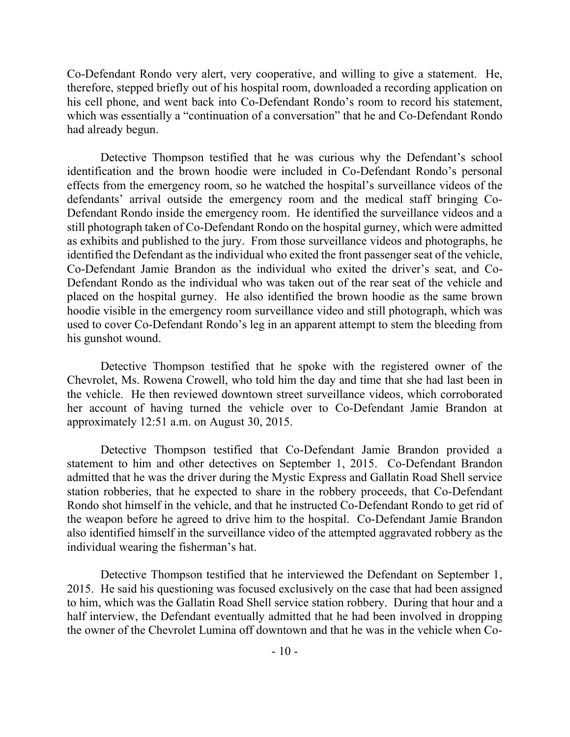Co-Defendant Rondo very alert, very cooperative, and willing to give a statement. He, therefore, stepped briefly out of his hospital room, downloaded a recording application on his cell phone, and went back into Co-Defendant Rondo's room to record his statement, which was essentially a "continuation of a conversation" that he and Co-Defendant Rondo had already begun.

Detective Thompson testified that he was curious why the Defendant's school identification and the brown hoodie were included in Co-Defendant Rondo's personal effects from the emergency room, so he watched the hospital's surveillance videos of the defendants' arrival outside the emergency room and the medical staff bringing Co-Defendant Rondo inside the emergency room. He identified the surveillance videos and a still photograph taken of Co-Defendant Rondo on the hospital gurney, which were admitted as exhibits and published to the jury. From those surveillance videos and photographs, he identified the Defendant as the individual who exited the front passenger seat of the vehicle, Co-Defendant Jamie Brandon as the individual who exited the driver's seat, and Co-Defendant Rondo as the individual who was taken out of the rear seat of the vehicle and placed on the hospital gurney. He also identified the brown hoodie as the same brown hoodie visible in the emergency room surveillance video and still photograph, which was used to cover Co-Defendant Rondo's leg in an apparent attempt to stem the bleeding from his gunshot wound.

Detective Thompson testified that he spoke with the registered owner of the Chevrolet, Ms. Rowena Crowell, who told him the day and time that she had last been in the vehicle. He then reviewed downtown street surveillance videos, which corroborated her account of having turned the vehicle over to Co-Defendant Jamie Brandon at approximately 12:51 a.m. on August 30, 2015.

Detective Thompson testified that Co-Defendant Jamie Brandon provided a statement to him and other detectives on September 1, 2015. Co-Defendant Brandon admitted that he was the driver during the Mystic Express and Gallatin Road Shell service station robberies, that he expected to share in the robbery proceeds, that Co-Defendant Rondo shot himself in the vehicle, and that he instructed Co-Defendant Rondo to get rid of the weapon before he agreed to drive him to the hospital. Co-Defendant Jamie Brandon also identified himself in the surveillance video of the attempted aggravated robbery as the individual wearing the fisherman's hat.

Detective Thompson testified that he interviewed the Defendant on September 1, 2015. He said his questioning was focused exclusively on the case that had been assigned to him, which was the Gallatin Road Shell service station robbery. During that hour and a half interview, the Defendant eventually admitted that he had been involved in dropping the owner of the Chevrolet Lumina off downtown and that he was in the vehicle when Co-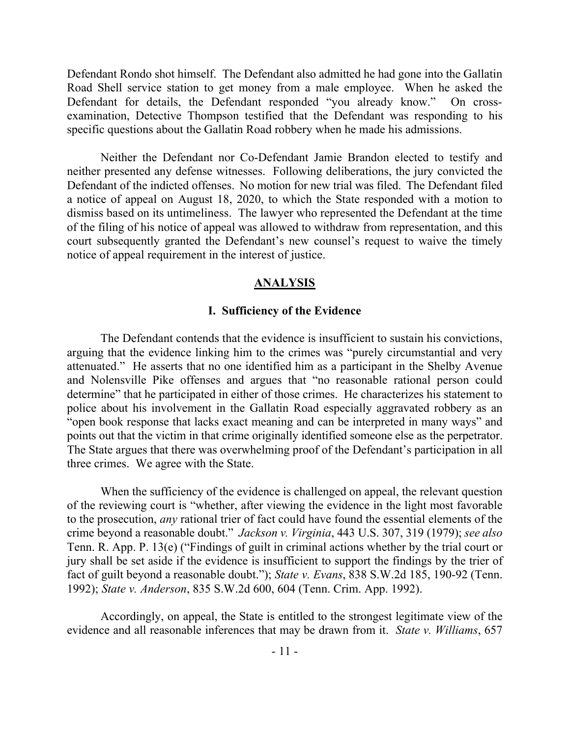Defendant Rondo shot himself. The Defendant also admitted he had gone into the Gallatin Road Shell service station to get money from a male employee. When he asked the Defendant for details, the Defendant responded "you already know." On crossexamination, Detective Thompson testified that the Defendant was responding to his specific questions about the Gallatin Road robbery when he made his admissions.

Neither the Defendant nor Co-Defendant Jamie Brandon elected to testify and neither presented any defense witnesses. Following deliberations, the jury convicted the Defendant of the indicted offenses. No motion for new trial was filed. The Defendant filed a notice of appeal on August 18, 2020, to which the State responded with a motion to dismiss based on its untimeliness. The lawyer who represented the Defendant at the time of the filing of his notice of appeal was allowed to withdraw from representation, and this court subsequently granted the Defendant's new counsel's request to waive the timely notice of appeal requirement in the interest of justice.

### **ANALYSIS**

#### **I. Sufficiency of the Evidence**

The Defendant contends that the evidence is insufficient to sustain his convictions, arguing that the evidence linking him to the crimes was "purely circumstantial and very attenuated." He asserts that no one identified him as a participant in the Shelby Avenue and Nolensville Pike offenses and argues that "no reasonable rational person could determine" that he participated in either of those crimes. He characterizes his statement to police about his involvement in the Gallatin Road especially aggravated robbery as an "open book response that lacks exact meaning and can be interpreted in many ways" and points out that the victim in that crime originally identified someone else as the perpetrator. The State argues that there was overwhelming proof of the Defendant's participation in all three crimes. We agree with the State.

When the sufficiency of the evidence is challenged on appeal, the relevant question of the reviewing court is "whether, after viewing the evidence in the light most favorable to the prosecution, *any* rational trier of fact could have found the essential elements of the crime beyond a reasonable doubt." *Jackson v. Virginia*, 443 U.S. 307, 319 (1979); *see also* Tenn. R. App. P. 13(e) ("Findings of guilt in criminal actions whether by the trial court or jury shall be set aside if the evidence is insufficient to support the findings by the trier of fact of guilt beyond a reasonable doubt."); *State v. Evans*, 838 S.W.2d 185, 190-92 (Tenn. 1992); *State v. Anderson*, 835 S.W.2d 600, 604 (Tenn. Crim. App. 1992).

Accordingly, on appeal, the State is entitled to the strongest legitimate view of the evidence and all reasonable inferences that may be drawn from it. *State v. Williams*, 657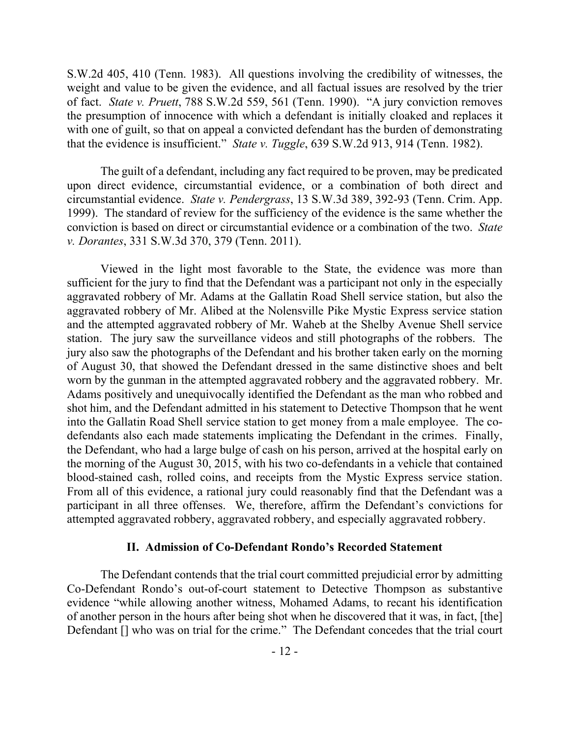S.W.2d 405, 410 (Tenn. 1983). All questions involving the credibility of witnesses, the weight and value to be given the evidence, and all factual issues are resolved by the trier of fact. *State v. Pruett*, 788 S.W.2d 559, 561 (Tenn. 1990). "A jury conviction removes the presumption of innocence with which a defendant is initially cloaked and replaces it with one of guilt, so that on appeal a convicted defendant has the burden of demonstrating that the evidence is insufficient." *State v. Tuggle*, 639 S.W.2d 913, 914 (Tenn. 1982).

The guilt of a defendant, including any fact required to be proven, may be predicated upon direct evidence, circumstantial evidence, or a combination of both direct and circumstantial evidence. *State v. Pendergrass*, 13 S.W.3d 389, 392-93 (Tenn. Crim. App. 1999). The standard of review for the sufficiency of the evidence is the same whether the conviction is based on direct or circumstantial evidence or a combination of the two. *State v. Dorantes*, 331 S.W.3d 370, 379 (Tenn. 2011).

Viewed in the light most favorable to the State, the evidence was more than sufficient for the jury to find that the Defendant was a participant not only in the especially aggravated robbery of Mr. Adams at the Gallatin Road Shell service station, but also the aggravated robbery of Mr. Alibed at the Nolensville Pike Mystic Express service station and the attempted aggravated robbery of Mr. Waheb at the Shelby Avenue Shell service station. The jury saw the surveillance videos and still photographs of the robbers. The jury also saw the photographs of the Defendant and his brother taken early on the morning of August 30, that showed the Defendant dressed in the same distinctive shoes and belt worn by the gunman in the attempted aggravated robbery and the aggravated robbery. Mr. Adams positively and unequivocally identified the Defendant as the man who robbed and shot him, and the Defendant admitted in his statement to Detective Thompson that he went into the Gallatin Road Shell service station to get money from a male employee. The codefendants also each made statements implicating the Defendant in the crimes. Finally, the Defendant, who had a large bulge of cash on his person, arrived at the hospital early on the morning of the August 30, 2015, with his two co-defendants in a vehicle that contained blood-stained cash, rolled coins, and receipts from the Mystic Express service station. From all of this evidence, a rational jury could reasonably find that the Defendant was a participant in all three offenses. We, therefore, affirm the Defendant's convictions for attempted aggravated robbery, aggravated robbery, and especially aggravated robbery.

### **II. Admission of Co-Defendant Rondo's Recorded Statement**

The Defendant contends that the trial court committed prejudicial error by admitting Co-Defendant Rondo's out-of-court statement to Detective Thompson as substantive evidence "while allowing another witness, Mohamed Adams, to recant his identification of another person in the hours after being shot when he discovered that it was, in fact, [the] Defendant [] who was on trial for the crime." The Defendant concedes that the trial court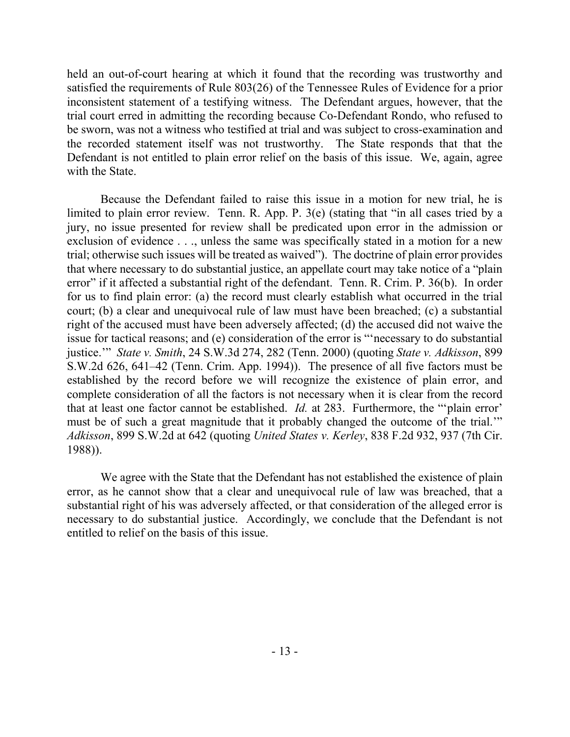held an out-of-court hearing at which it found that the recording was trustworthy and satisfied the requirements of Rule 803(26) of the Tennessee Rules of Evidence for a prior inconsistent statement of a testifying witness. The Defendant argues, however, that the trial court erred in admitting the recording because Co-Defendant Rondo, who refused to be sworn, was not a witness who testified at trial and was subject to cross-examination and the recorded statement itself was not trustworthy. The State responds that that the Defendant is not entitled to plain error relief on the basis of this issue. We, again, agree with the State.

Because the Defendant failed to raise this issue in a motion for new trial, he is limited to plain error review. Tenn. R. App. P. 3(e) (stating that "in all cases tried by a jury, no issue presented for review shall be predicated upon error in the admission or exclusion of evidence . . ., unless the same was specifically stated in a motion for a new trial; otherwise such issues will be treated as waived"). The doctrine of plain error provides that where necessary to do substantial justice, an appellate court may take notice of a "plain error" if it affected a substantial right of the defendant. Tenn. R. Crim. P. 36(b). In order for us to find plain error: (a) the record must clearly establish what occurred in the trial court; (b) a clear and unequivocal rule of law must have been breached; (c) a substantial right of the accused must have been adversely affected; (d) the accused did not waive the issue for tactical reasons; and (e) consideration of the error is "'necessary to do substantial justice.'" *State v. Smith*, 24 S.W.3d 274, 282 (Tenn. 2000) (quoting *State v. Adkisson*, 899 S.W.2d 626, 641–42 (Tenn. Crim. App. 1994)). The presence of all five factors must be established by the record before we will recognize the existence of plain error, and complete consideration of all the factors is not necessary when it is clear from the record that at least one factor cannot be established. *Id.* at 283. Furthermore, the "'plain error' must be of such a great magnitude that it probably changed the outcome of the trial.'" *Adkisson*, 899 S.W.2d at 642 (quoting *United States v. Kerley*, 838 F.2d 932, 937 (7th Cir. 1988)).

We agree with the State that the Defendant has not established the existence of plain error, as he cannot show that a clear and unequivocal rule of law was breached, that a substantial right of his was adversely affected, or that consideration of the alleged error is necessary to do substantial justice. Accordingly, we conclude that the Defendant is not entitled to relief on the basis of this issue.